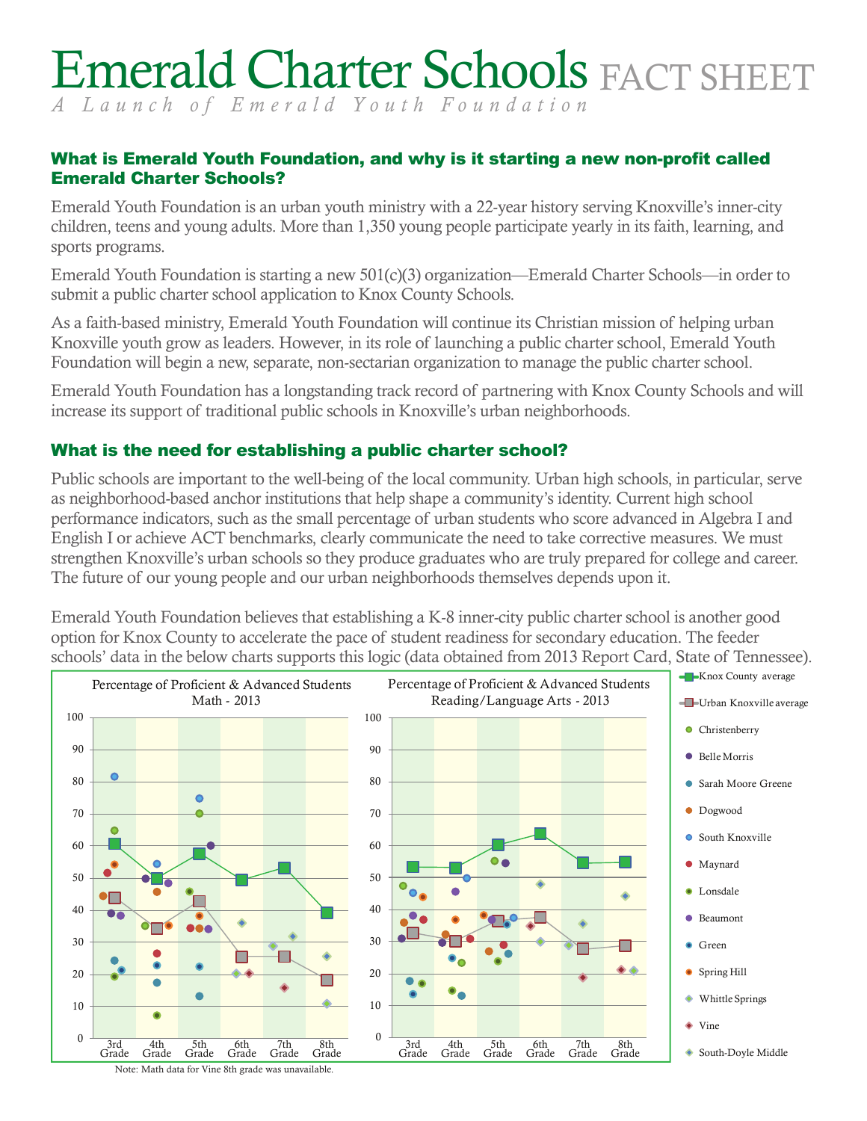# Emerald Charter Schools FACT SHEET

*A Launch of Emerald Youth Foundation*

## What is Emerald Youth Foundation, and why is it starting a new non-profit called Emerald Charter Schools?

[Emerald Youth Foundation](http://www.emeraldyouth.org) is an urban youth ministry with a 22-year history serving Knoxville's inner-city children, teens and young adults. More than 1,350 young people participate yearly in its faith, learning, and sports programs.

Emerald Youth Foundation is starting a new 501(c)(3) organization[—Emerald Charter Schools—](http://www.emeraldcharterschools.org)in order to submit a public charter school application to [Knox County Schools](http://charter.knoxschools.org/modules/groups/integrated_home.phtml?gid=3707627&sessionid=2fb0997ae25f504faaf8bc00ac534a89).

As a faith-based ministry, Emerald Youth Foundation will continue its Christian mission of helping urban Knoxville youth grow as leaders. However, in its role of launching a public charter school, Emerald Youth Foundation will begin a new, separate, non-sectarian organization to manage the public charter school.

Emerald Youth Foundation has a longstanding track record of partnering with [Knox County Schools](http://knoxschools.org/) and will increase its support of traditional public schools in Knoxville's urban neighborhoods.

## What is the need for establishing a public charter school?

Public schools are important to the well-being of the local community. Urban high schools, in particular, serve as neighborhood-based anchor institutions that help shape a community's identity. Current high school performance indicators, such as the small percentage of urban students who score advanced in Algebra I and English I or achieve ACT benchmarks, clearly communicate the need to take corrective measures. We must strengthen Knoxville's urban schools so they produce graduates who are truly prepared for college and career. The future of our young people and our urban neighborhoods themselves depends upon it.

Emerald Youth Foundation believes that establishing a K-8 inner-city public charter school is another good option for Knox County to accelerate the pace of student readiness for secondary education. The feeder schools' data in the below charts supports this logic (data obtained from [2013 Report Card](http://www.tn.gov/education/reportcard/2013.shtml), State of Tennessee).